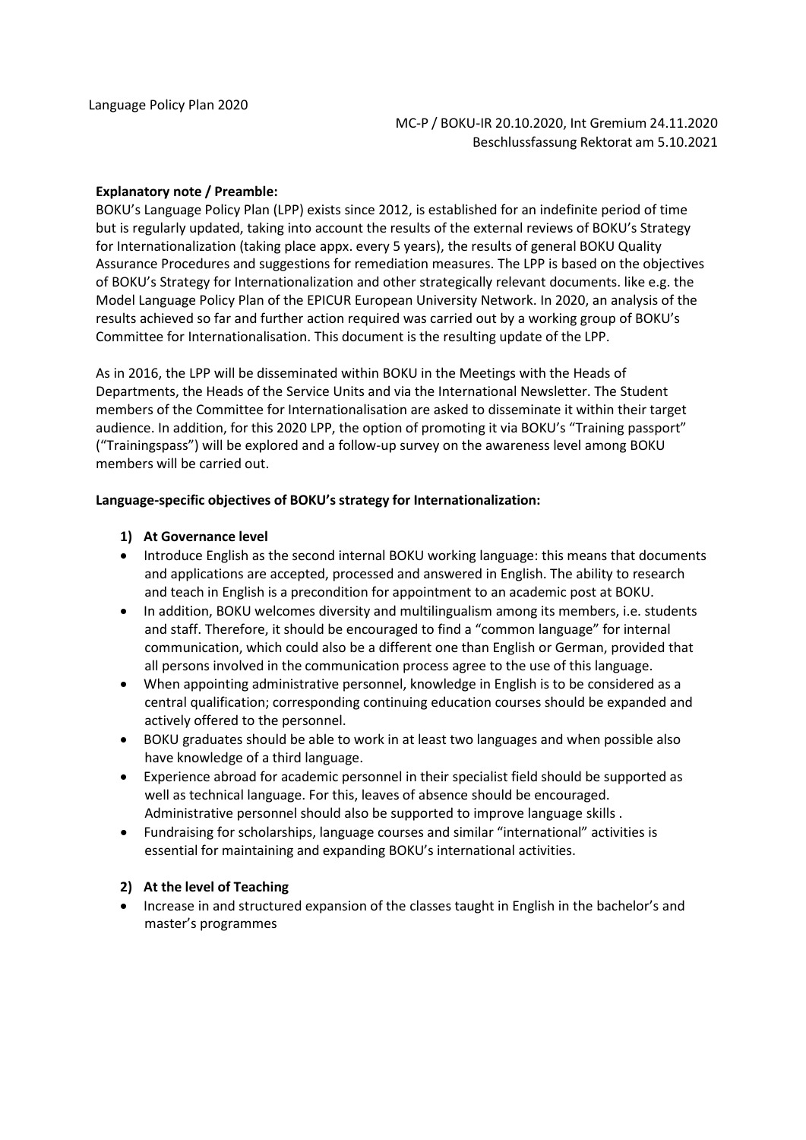#### **Explanatory note / Preamble:**

BOKU's Language Policy Plan (LPP) exists since 2012, is established for an indefinite period of time but is regularly updated, taking into account the results of the external reviews of BOKU's Strategy for Internationalization (taking place appx. every 5 years), the results of general BOKU Quality Assurance Procedures and suggestions for remediation measures. The LPP is based on the objectives of BOKU's Strategy for Internationalization and other strategically relevant documents. like e.g. the Model Language Policy Plan of the EPICUR European University Network. In 2020, an analysis of the results achieved so far and further action required was carried out by a working group of BOKU's Committee for Internationalisation. This document is the resulting update of the LPP.

As in 2016, the LPP will be disseminated within BOKU in the Meetings with the Heads of Departments, the Heads of the Service Units and via the International Newsletter. The Student members of the Committee for Internationalisation are asked to disseminate it within their target audience. In addition, for this 2020 LPP, the option of promoting it via BOKU's "Training passport" ("Trainingspass") will be explored and a follow-up survey on the awareness level among BOKU members will be carried out.

#### **Language-specific objectives of BOKU'sstrategy for Internationalization:**

#### **1) At Governance level**

- Introduce English as the second internal BOKU working language: this means that documents and applications are accepted, processed and answered in English. The ability to research and teach in English is a precondition for appointment to an academic post at BOKU.
- In addition, BOKU welcomes diversity and multilingualism among its members, i.e. students and staff. Therefore, it should be encouraged to find a "common language" for internal communication, which could also be a different one than English or German, provided that all persons involved in the communication process agree to the use of this language.
- When appointing administrative personnel, knowledge in English is to be considered as a central qualification; corresponding continuing education courses should be expanded and actively offered to the personnel.
- BOKU graduates should be able to work in at least two languages and when possible also have knowledge of a third language.
- Experience abroad for academic personnel in their specialist field should be supported as well as technical language. For this, leaves of absence should be encouraged. Administrative personnel should also be supported to improve language skills .
- Fundraising for scholarships, language courses and similar "international" activities is essential for maintaining and expanding BOKU's international activities.

#### **2) At the level of Teaching**

• Increase in and structured expansion of the classes taught in English in the bachelor's and master's programmes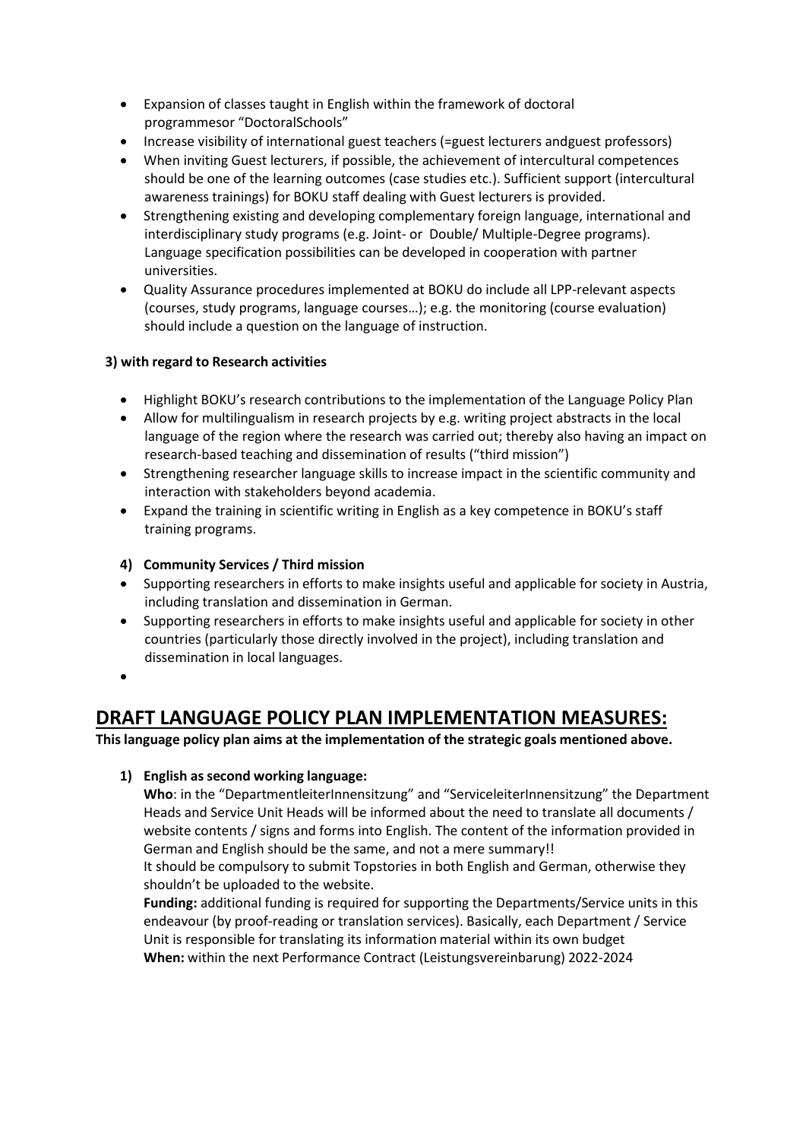- Expansion of classes taught in English within the framework of doctoral programmesor "DoctoralSchools"
- Increase visibility of international guest teachers (=guest lecturers andguest professors)
- When inviting Guest lecturers, if possible, the achievement of intercultural competences should be one of the learning outcomes (case studies etc.). Sufficient support (intercultural awareness trainings) for BOKU staff dealing with Guest lecturers is provided.
- Strengthening existing and developing complementary foreign language, international and interdisciplinary study programs (e.g. Joint- or Double/ Multiple-Degree programs). Language specification possibilities can be developed in cooperation with partner universities.
- Quality Assurance procedures implemented at BOKU do include all LPP-relevant aspects (courses, study programs, language courses…); e.g. the monitoring (course evaluation) should include a question on the language of instruction.

# **3) with regard to Research activities**

- Highlight BOKU's research contributions to the implementation of the Language Policy Plan
- Allow for multilingualism in research projects by e.g. writing project abstracts in the local language of the region where the research was carried out; thereby also having an impact on research-based teaching and dissemination of results ("third mission")
- Strengthening researcher language skills to increase impact in the scientific community and interaction with stakeholders beyond academia.
- Expand the training in scientific writing in English as a key competence in BOKU's staff training programs.

# **4) Community Services / Third mission**

- Supporting researchers in efforts to make insights useful and applicable for society in Austria, including translation and dissemination in German.
- Supporting researchers in efforts to make insights useful and applicable for society in other countries (particularly those directly involved in the project), including translation and dissemination in local languages.
- •

# **DRAFT LANGUAGE POLICY PLAN IMPLEMENTATION MEASURES:**

**Thislanguage policy plan aims at the implementation of the strategic goals mentioned above.**

# **1) English as second working language:**

**Who**: in the "DepartmentleiterInnensitzung" and "ServiceleiterInnensitzung" the Department Heads and Service Unit Heads will be informed about the need to translate all documents / website contents / signs and forms into English. The content of the information provided in German and English should be the same, and not a mere summary!!

It should be compulsory to submit Topstories in both English and German, otherwise they shouldn't be uploaded to the website.

**Funding:** additional funding is required for supporting the Departments/Service units in this endeavour (by proof-reading or translation services). Basically, each Department / Service Unit is responsible for translating its information material within its own budget **When:** within the next Performance Contract (Leistungsvereinbarung) 2022-2024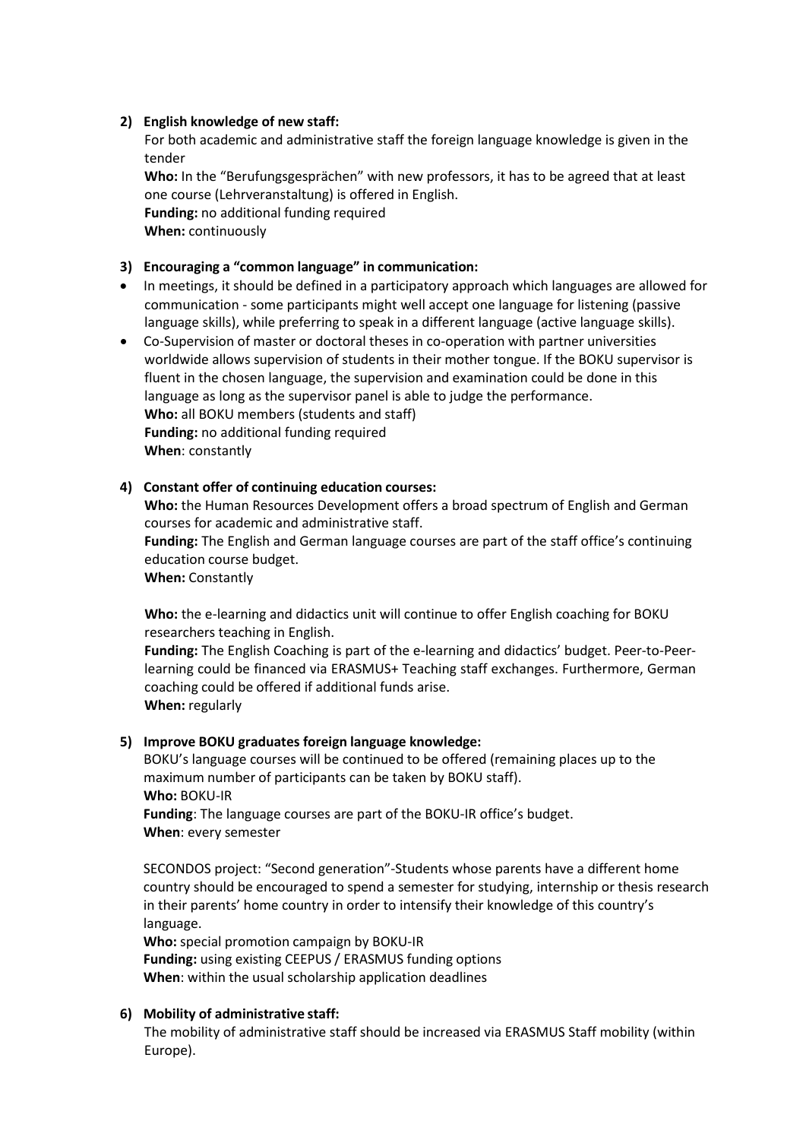## **2) English knowledge of new staff:**

For both academic and administrative staff the foreign language knowledge is given in the tender

**Who:** In the "Berufungsgesprächen" with new professors, it has to be agreed that at least one course (Lehrveranstaltung) is offered in English. **Funding:** no additional funding required **When:** continuously

## **3) Encouraging a "common language" in communication:**

- In meetings, it should be defined in a participatory approach which languages are allowed for communication - some participants might well accept one language for listening (passive language skills), while preferring to speak in a different language (active language skills).
- Co-Supervision of master or doctoral theses in co-operation with partner universities worldwide allows supervision of students in their mother tongue. If the BOKU supervisor is fluent in the chosen language, the supervision and examination could be done in this language as long as the supervisor panel is able to judge the performance. **Who:** all BOKU members (students and staff) **Funding:** no additional funding required **When**: constantly

## **4) Constant offer of continuing education courses:**

**Who:** the Human Resources Development offers a broad spectrum of English and German courses for academic and administrative staff.

**Funding:** The English and German language courses are part of the staff office's continuing education course budget.

**When:** Constantly

**Who:** the e-learning and didactics unit will continue to offer English coaching for BOKU researchers teaching in English.

**Funding:** The English Coaching is part of the e-learning and didactics' budget. Peer-to-Peerlearning could be financed via ERASMUS+ Teaching staff exchanges. Furthermore, German coaching could be offered if additional funds arise. **When:** regularly

#### **5) Improve BOKU graduates foreign language knowledge:**

BOKU's language courses will be continued to be offered (remaining places up to the maximum number of participants can be taken by BOKU staff). **Who:** BOKU-IR **Funding**: The language courses are part of the BOKU-IR office's budget. **When**: every semester

SECONDOS project: "Second generation"-Students whose parents have a different home country should be encouraged to spend a semester for studying, internship or thesis research in their parents' home country in order to intensify their knowledge of this country's language.

**Who:** special promotion campaign by BOKU-IR **Funding:** using existing CEEPUS / ERASMUS funding options **When**: within the usual scholarship application deadlines

#### **6) Mobility of administrative staff:**

The mobility of administrative staff should be increased via ERASMUS Staff mobility (within Europe).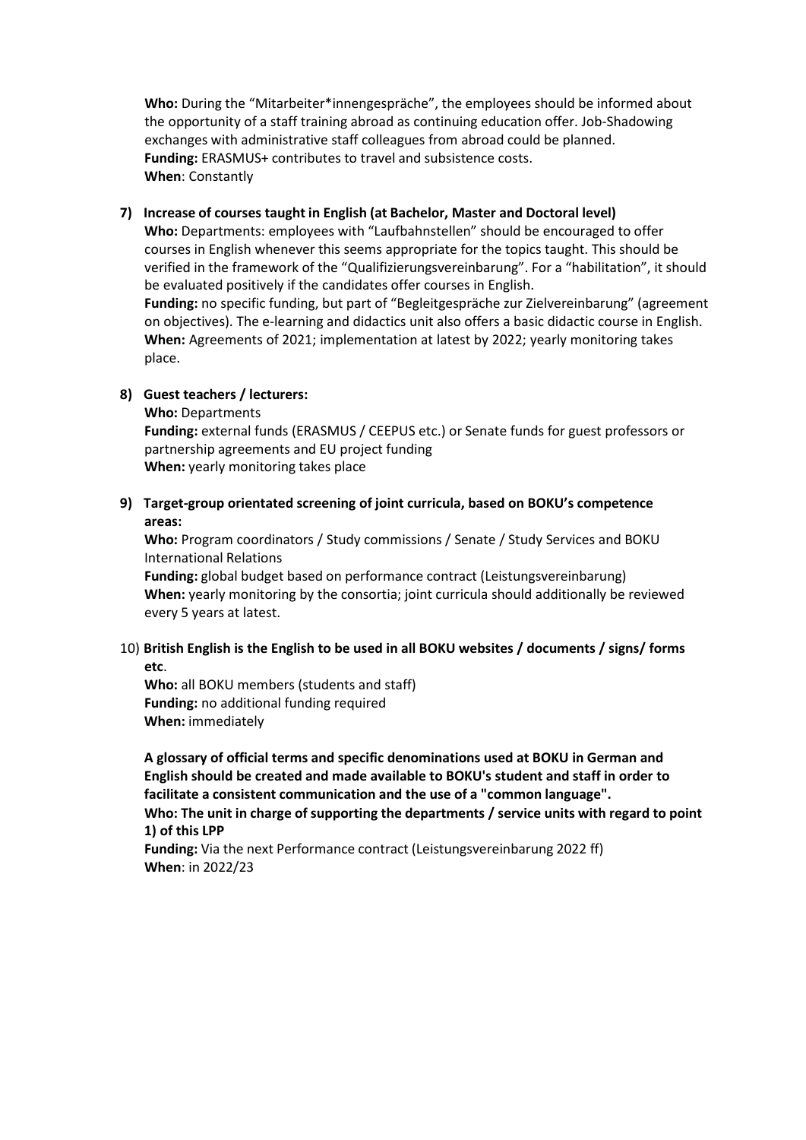**Who:** During the "Mitarbeiter\*innengespräche", the employees should be informed about the opportunity of a staff training abroad as continuing education offer. Job-Shadowing exchanges with administrative staff colleagues from abroad could be planned. **Funding:** ERASMUS+ contributes to travel and subsistence costs. **When**: Constantly

## **7) Increase of courses taught in English (at Bachelor, Master and Doctoral level)**

**Who:** Departments: employees with "Laufbahnstellen" should be encouraged to offer courses in English whenever this seems appropriate for the topics taught. This should be verified in the framework of the "Qualifizierungsvereinbarung". For a "habilitation", it should be evaluated positively if the candidates offer courses in English.

**Funding:** no specific funding, but part of "Begleitgespräche zur Zielvereinbarung" (agreement on objectives). The e-learning and didactics unit also offers a basic didactic course in English. **When:** Agreements of 2021; implementation at latest by 2022; yearly monitoring takes place.

## **8) Guest teachers / lecturers:**

**Who:** Departments

**Funding:** external funds (ERASMUS / CEEPUS etc.) or Senate funds for guest professors or partnership agreements and EU project funding **When:** yearly monitoring takes place

# **9) Target-group orientated screening of joint curricula, based on BOKU's competence areas:**

**Who:** Program coordinators / Study commissions / Senate / Study Services and BOKU International Relations

**Funding:** global budget based on performance contract (Leistungsvereinbarung) **When:** yearly monitoring by the consortia; joint curricula should additionally be reviewed every 5 years at latest.

## 10) **British English is the English to be used in all BOKU websites / documents / signs/ forms etc**.

**Who:** all BOKU members (students and staff) **Funding:** no additional funding required **When:** immediately

**A glossary of official terms and specific denominations used at BOKU in German and English should be created and made available to BOKU's student and staff in order to facilitate a consistent communication and the use of a "common language".**

**Who: The unit in charge of supporting the departments / service units with regard to point 1) of this LPP**

**Funding:** Via the next Performance contract (Leistungsvereinbarung 2022 ff) **When**: in 2022/23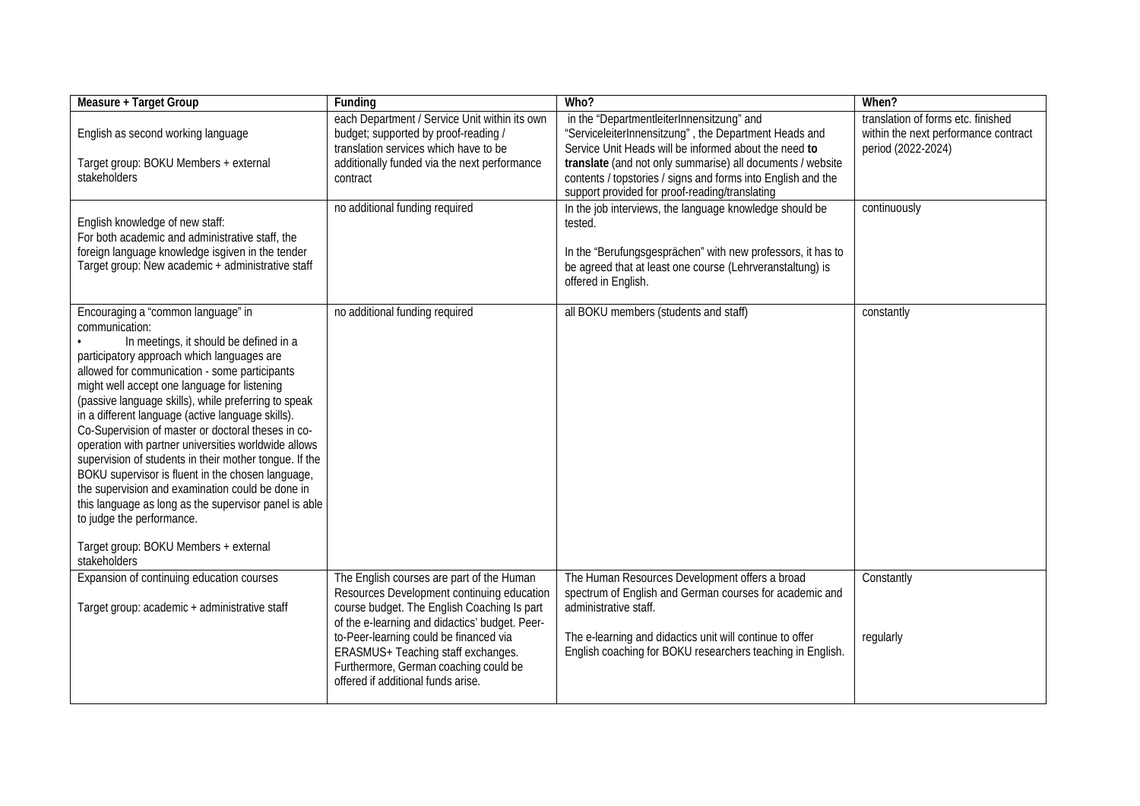| <b>Measure + Target Group</b>                                                                                                                                                                                                                                                                                                                                                                                                                                                                                                                                                                                                                                                                                                                                                              | Funding                                                                                                                                                                                                                                                                                                                                                 | Who?                                                                                                                                                                                                                                                                                                                                        | When?                                                                                            |
|--------------------------------------------------------------------------------------------------------------------------------------------------------------------------------------------------------------------------------------------------------------------------------------------------------------------------------------------------------------------------------------------------------------------------------------------------------------------------------------------------------------------------------------------------------------------------------------------------------------------------------------------------------------------------------------------------------------------------------------------------------------------------------------------|---------------------------------------------------------------------------------------------------------------------------------------------------------------------------------------------------------------------------------------------------------------------------------------------------------------------------------------------------------|---------------------------------------------------------------------------------------------------------------------------------------------------------------------------------------------------------------------------------------------------------------------------------------------------------------------------------------------|--------------------------------------------------------------------------------------------------|
| English as second working language<br>Target group: BOKU Members + external<br>stakeholders                                                                                                                                                                                                                                                                                                                                                                                                                                                                                                                                                                                                                                                                                                | each Department / Service Unit within its own<br>budget; supported by proof-reading /<br>translation services which have to be<br>additionally funded via the next performance<br>contract                                                                                                                                                              | in the "DepartmentleiterInnensitzung" and<br>"ServiceleiterInnensitzung", the Department Heads and<br>Service Unit Heads will be informed about the need to<br>translate (and not only summarise) all documents / website<br>contents / topstories / signs and forms into English and the<br>support provided for proof-reading/translating | translation of forms etc. finished<br>within the next performance contract<br>period (2022-2024) |
| English knowledge of new staff:<br>For both academic and administrative staff, the<br>foreign language knowledge isgiven in the tender<br>Target group: New academic + administrative staff                                                                                                                                                                                                                                                                                                                                                                                                                                                                                                                                                                                                | no additional funding required                                                                                                                                                                                                                                                                                                                          | In the job interviews, the language knowledge should be<br>tested.<br>In the "Berufungsgesprächen" with new professors, it has to<br>be agreed that at least one course (Lehrveranstaltung) is<br>offered in English.                                                                                                                       | continuously                                                                                     |
| Encouraging a "common language" in<br>communication:<br>In meetings, it should be defined in a<br>participatory approach which languages are<br>allowed for communication - some participants<br>might well accept one language for listening<br>(passive language skills), while preferring to speak<br>in a different language (active language skills).<br>Co-Supervision of master or doctoral theses in co-<br>operation with partner universities worldwide allows<br>supervision of students in their mother tongue. If the<br>BOKU supervisor is fluent in the chosen language,<br>the supervision and examination could be done in<br>this language as long as the supervisor panel is able<br>to judge the performance.<br>Target group: BOKU Members + external<br>stakeholders | no additional funding required                                                                                                                                                                                                                                                                                                                          | all BOKU members (students and staff)                                                                                                                                                                                                                                                                                                       | constantly                                                                                       |
| Expansion of continuing education courses<br>Target group: academic + administrative staff                                                                                                                                                                                                                                                                                                                                                                                                                                                                                                                                                                                                                                                                                                 | The English courses are part of the Human<br>Resources Development continuing education<br>course budget. The English Coaching Is part<br>of the e-learning and didactics' budget. Peer-<br>to-Peer-learning could be financed via<br>ERASMUS+ Teaching staff exchanges.<br>Furthermore, German coaching could be<br>offered if additional funds arise. | The Human Resources Development offers a broad<br>spectrum of English and German courses for academic and<br>administrative staff.<br>The e-learning and didactics unit will continue to offer<br>English coaching for BOKU researchers teaching in English.                                                                                | Constantly<br>regularly                                                                          |